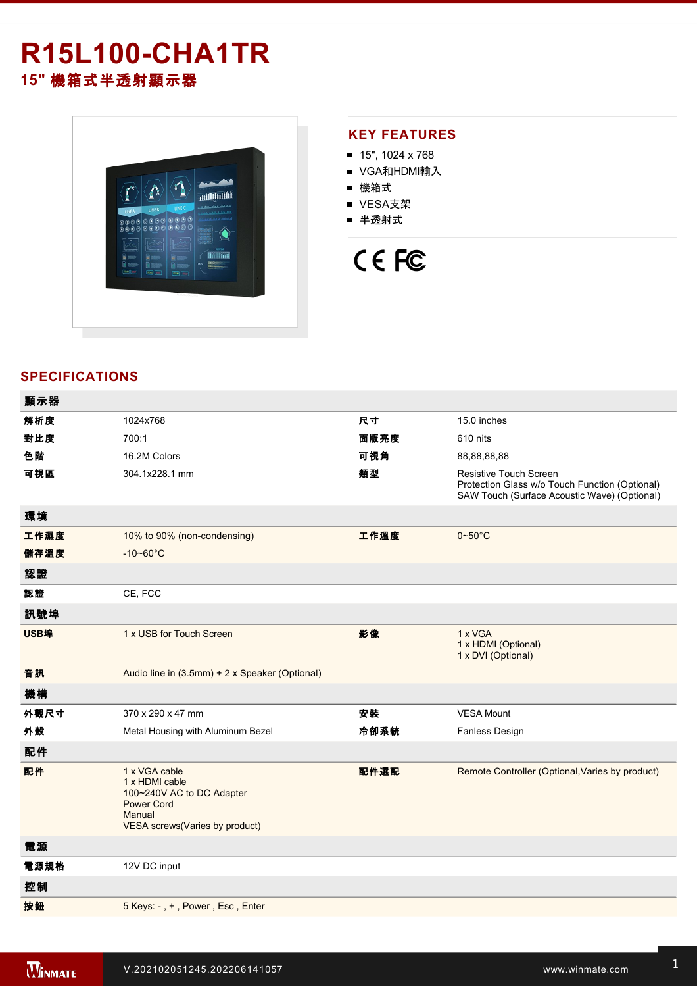# **R15L100-CHA1TR 15"** 機箱式半透射顯示器



### **KEY FEATURES**

- 15", 1024 x 768
- VGA和HDMI輸入
- 機箱式
- VESA支架
- 半透射式

# CE FC

## **SPECIFICATIONS**

| 顯示器  |                                                                                                                               |      |                                                                                                                                 |
|------|-------------------------------------------------------------------------------------------------------------------------------|------|---------------------------------------------------------------------------------------------------------------------------------|
| 解析度  | 1024x768                                                                                                                      | 尺寸   | 15.0 inches                                                                                                                     |
| 對比度  | 700:1                                                                                                                         | 面版亮度 | 610 nits                                                                                                                        |
| 色階   | 16.2M Colors                                                                                                                  | 可視角  | 88,88,88,88                                                                                                                     |
| 可視區  | 304.1x228.1 mm                                                                                                                | 類型   | <b>Resistive Touch Screen</b><br>Protection Glass w/o Touch Function (Optional)<br>SAW Touch (Surface Acoustic Wave) (Optional) |
| 環境   |                                                                                                                               |      |                                                                                                                                 |
| 工作濕度 | 10% to 90% (non-condensing)                                                                                                   | 工作溫度 | $0 - 50^{\circ}$ C                                                                                                              |
| 儲存溫度 | $-10 - 60^{\circ}$ C                                                                                                          |      |                                                                                                                                 |
| 認證   |                                                                                                                               |      |                                                                                                                                 |
| 認證   | CE, FCC                                                                                                                       |      |                                                                                                                                 |
| 訊號埠  |                                                                                                                               |      |                                                                                                                                 |
| USB埠 | 1 x USB for Touch Screen                                                                                                      | 影像   | 1 x VGA<br>1 x HDMI (Optional)<br>1 x DVI (Optional)                                                                            |
| 音訊   | Audio line in (3.5mm) + 2 x Speaker (Optional)                                                                                |      |                                                                                                                                 |
| 機構   |                                                                                                                               |      |                                                                                                                                 |
| 外觀尺寸 | 370 x 290 x 47 mm                                                                                                             | 安装   | <b>VESA Mount</b>                                                                                                               |
| 外殼   | Metal Housing with Aluminum Bezel                                                                                             | 冷卻系統 | Fanless Design                                                                                                                  |
| 配件   |                                                                                                                               |      |                                                                                                                                 |
| 配件   | 1 x VGA cable<br>1 x HDMI cable<br>100~240V AC to DC Adapter<br><b>Power Cord</b><br>Manual<br>VESA screws(Varies by product) | 配件選配 | Remote Controller (Optional, Varies by product)                                                                                 |
| 電源   |                                                                                                                               |      |                                                                                                                                 |
| 電源規格 | 12V DC input                                                                                                                  |      |                                                                                                                                 |
| 控制   |                                                                                                                               |      |                                                                                                                                 |
| 按鈕   | 5 Keys: -, +, Power, Esc, Enter                                                                                               |      |                                                                                                                                 |
|      |                                                                                                                               |      |                                                                                                                                 |

**DIMENSIONS**  UNIT:MM